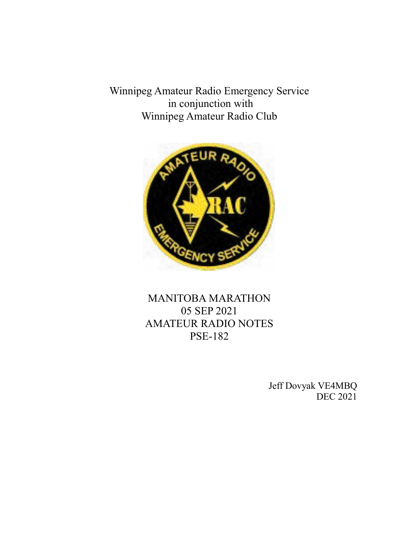Winnipeg Amateur Radio Emergency Service in conjunction with Winnipeg Amateur Radio Club



MANITOBA MARATHON 05 SEP 2021 AMATEUR RADIO NOTES PSE-182

> Jeff Dovyak VE4MBQ DEC 2021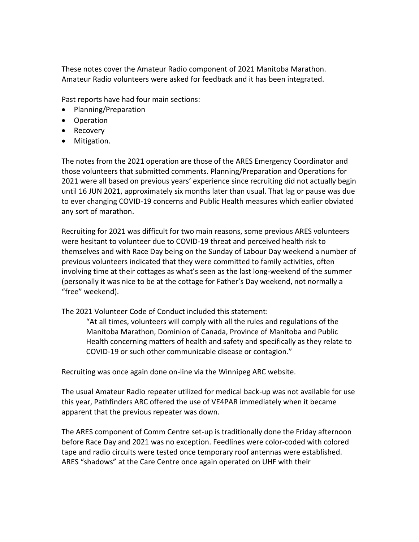These notes cover the Amateur Radio component of 2021 Manitoba Marathon. Amateur Radio volunteers were asked for feedback and it has been integrated.

Past reports have had four main sections:

- Planning/Preparation
- Operation
- Recovery
- Mitigation.

The notes from the 2021 operation are those of the ARES Emergency Coordinator and those volunteers that submitted comments. Planning/Preparation and Operations for 2021 were all based on previous years' experience since recruiting did not actually begin until 16 JUN 2021, approximately six months later than usual. That lag or pause was due to ever changing COVID-19 concerns and Public Health measures which earlier obviated any sort of marathon.

Recruiting for 2021 was difficult for two main reasons, some previous ARES volunteers were hesitant to volunteer due to COVID-19 threat and perceived health risk to themselves and with Race Day being on the Sunday of Labour Day weekend a number of previous volunteers indicated that they were committed to family activities, often involving time at their cottages as what's seen as the last long-weekend of the summer (personally it was nice to be at the cottage for Father's Day weekend, not normally a "free" weekend).

The 2021 Volunteer Code of Conduct included this statement:

"At all times, volunteers will comply with all the rules and regulations of the Manitoba Marathon, Dominion of Canada, Province of Manitoba and Public Health concerning matters of health and safety and specifically as they relate to COVID-19 or such other communicable disease or contagion."

Recruiting was once again done on-line via the Winnipeg ARC website.

The usual Amateur Radio repeater utilized for medical back-up was not available for use this year, Pathfinders ARC offered the use of VE4PAR immediately when it became apparent that the previous repeater was down.

The ARES component of Comm Centre set-up is traditionally done the Friday afternoon before Race Day and 2021 was no exception. Feedlines were color-coded with colored tape and radio circuits were tested once temporary roof antennas were established. ARES "shadows" at the Care Centre once again operated on UHF with their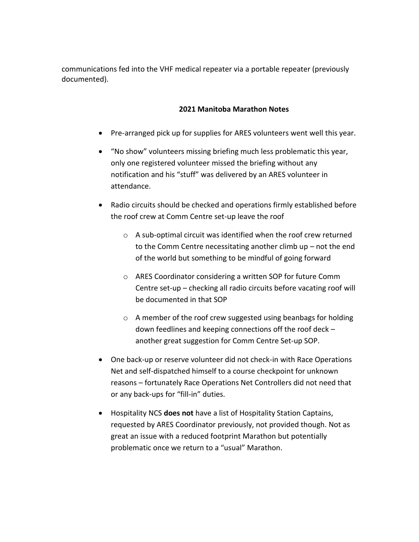communications fed into the VHF medical repeater via a portable repeater (previously documented).

## **2021 Manitoba Marathon Notes**

- Pre-arranged pick up for supplies for ARES volunteers went well this year.
- "No show" volunteers missing briefing much less problematic this year, only one registered volunteer missed the briefing without any notification and his "stuff" was delivered by an ARES volunteer in attendance.
- Radio circuits should be checked and operations firmly established before the roof crew at Comm Centre set-up leave the roof
	- o A sub-optimal circuit was identified when the roof crew returned to the Comm Centre necessitating another climb up – not the end of the world but something to be mindful of going forward
	- o ARES Coordinator considering a written SOP for future Comm Centre set-up – checking all radio circuits before vacating roof will be documented in that SOP
	- o A member of the roof crew suggested using beanbags for holding down feedlines and keeping connections off the roof deck – another great suggestion for Comm Centre Set-up SOP.
- One back-up or reserve volunteer did not check-in with Race Operations Net and self-dispatched himself to a course checkpoint for unknown reasons – fortunately Race Operations Net Controllers did not need that or any back-ups for "fill-in" duties.
- Hospitality NCS **does not** have a list of Hospitality Station Captains, requested by ARES Coordinator previously, not provided though. Not as great an issue with a reduced footprint Marathon but potentially problematic once we return to a "usual" Marathon.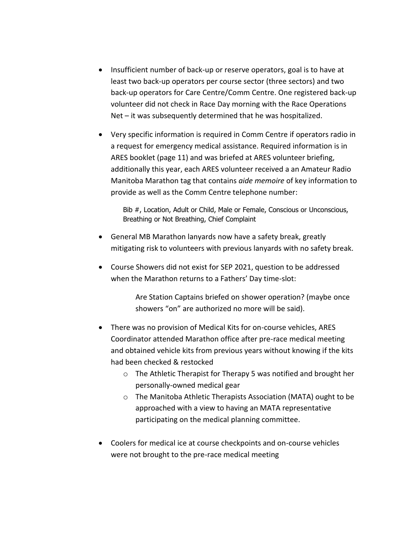- Insufficient number of back-up or reserve operators, goal is to have at least two back-up operators per course sector (three sectors) and two back-up operators for Care Centre/Comm Centre. One registered back-up volunteer did not check in Race Day morning with the Race Operations Net – it was subsequently determined that he was hospitalized.
- Very specific information is required in Comm Centre if operators radio in a request for emergency medical assistance. Required information is in ARES booklet (page 11) and was briefed at ARES volunteer briefing, additionally this year, each ARES volunteer received a an Amateur Radio Manitoba Marathon tag that contains *aide memoire* of key information to provide as well as the Comm Centre telephone number:

Bib #, Location, Adult or Child, Male or Female, Conscious or Unconscious, Breathing or Not Breathing, Chief Complaint

- General MB Marathon lanyards now have a safety break, greatly mitigating risk to volunteers with previous lanyards with no safety break.
- Course Showers did not exist for SEP 2021, question to be addressed when the Marathon returns to a Fathers' Day time-slot:

Are Station Captains briefed on shower operation? (maybe once showers "on" are authorized no more will be said).

- There was no provision of Medical Kits for on-course vehicles, ARES Coordinator attended Marathon office after pre-race medical meeting and obtained vehicle kits from previous years without knowing if the kits had been checked & restocked
	- o The Athletic Therapist for Therapy 5 was notified and brought her personally-owned medical gear
	- o The Manitoba Athletic Therapists Association (MATA) ought to be approached with a view to having an MATA representative participating on the medical planning committee.
- Coolers for medical ice at course checkpoints and on-course vehicles were not brought to the pre-race medical meeting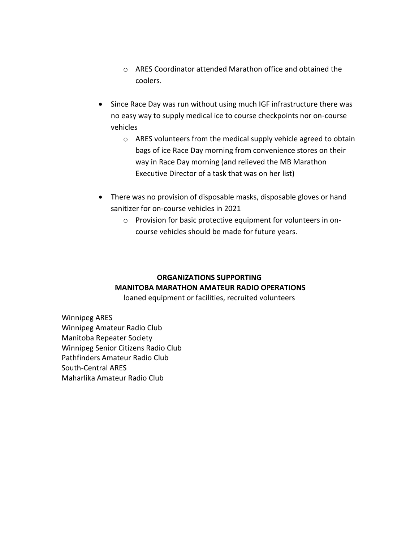- o ARES Coordinator attended Marathon office and obtained the coolers.
- Since Race Day was run without using much IGF infrastructure there was no easy way to supply medical ice to course checkpoints nor on-course vehicles
	- o ARES volunteers from the medical supply vehicle agreed to obtain bags of ice Race Day morning from convenience stores on their way in Race Day morning (and relieved the MB Marathon Executive Director of a task that was on her list)
- There was no provision of disposable masks, disposable gloves or hand sanitizer for on-course vehicles in 2021
	- o Provision for basic protective equipment for volunteers in oncourse vehicles should be made for future years.

## **ORGANIZATIONS SUPPORTING MANITOBA MARATHON AMATEUR RADIO OPERATIONS** loaned equipment or facilities, recruited volunteers

Winnipeg ARES Winnipeg Amateur Radio Club Manitoba Repeater Society Winnipeg Senior Citizens Radio Club Pathfinders Amateur Radio Club South-Central ARES

Maharlika Amateur Radio Club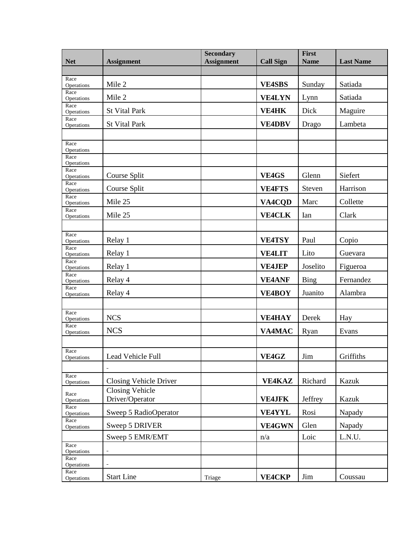| <b>Net</b>         | <b>Assignment</b>                         | <b>Secondary</b><br><b>Assignment</b> | <b>Call Sign</b> | First<br><b>Name</b> | <b>Last Name</b> |
|--------------------|-------------------------------------------|---------------------------------------|------------------|----------------------|------------------|
|                    |                                           |                                       |                  |                      |                  |
| Race<br>Operations | Mile 2                                    |                                       | <b>VE4SBS</b>    | Sunday               | Satiada          |
| Race<br>Operations | Mile 2                                    |                                       | <b>VE4LYN</b>    | Lynn                 | Satiada          |
| Race<br>Operations | <b>St Vital Park</b>                      |                                       | <b>VE4HK</b>     | Dick                 | Maguire          |
| Race<br>Operations | <b>St Vital Park</b>                      |                                       | <b>VE4DBV</b>    | Drago                | Lambeta          |
|                    |                                           |                                       |                  |                      |                  |
| Race<br>Operations |                                           |                                       |                  |                      |                  |
| Race<br>Operations |                                           |                                       |                  |                      |                  |
| Race<br>Operations | Course Split                              |                                       | VE4GS            | Glenn                | Siefert          |
| Race<br>Operations | Course Split                              |                                       | <b>VE4FTS</b>    | Steven               | Harrison         |
| Race<br>Operations | Mile 25                                   |                                       | VA4CQD           | Marc                 | Collette         |
| Race<br>Operations | Mile 25                                   |                                       | <b>VE4CLK</b>    | Ian                  | Clark            |
|                    |                                           |                                       |                  |                      |                  |
| Race<br>Operations | Relay 1                                   |                                       | <b>VE4TSY</b>    | Paul                 | Copio            |
| Race<br>Operations | Relay 1                                   |                                       | <b>VE4LIT</b>    | Lito                 | Guevara          |
| Race<br>Operations | Relay 1                                   |                                       | <b>VE4JEP</b>    | Joselito             | Figueroa         |
| Race<br>Operations | Relay 4                                   |                                       | <b>VE4ANF</b>    | Bing                 | Fernandez        |
| Race<br>Operations | Relay 4                                   |                                       | <b>VE4BOY</b>    | Juanito              | Alambra          |
|                    |                                           |                                       |                  |                      |                  |
| Race<br>Operations | <b>NCS</b>                                |                                       | <b>VE4HAY</b>    | Derek                | Hay              |
| Race<br>Operations | <b>NCS</b>                                |                                       | VA4MAC           | Ryan                 | Evans            |
|                    |                                           |                                       |                  |                      |                  |
| Race<br>Operations | Lead Vehicle Full                         |                                       | VE4GZ            | Jim                  | Griffiths        |
|                    |                                           |                                       |                  |                      |                  |
| Race<br>Operations | Closing Vehicle Driver                    |                                       | <b>VE4KAZ</b>    | Richard              | Kazuk            |
| Race<br>Operations | <b>Closing Vehicle</b><br>Driver/Operator |                                       | <b>VE4JFK</b>    | Jeffrey              | Kazuk            |
| Race               | Sweep 5 RadioOperator                     |                                       | <b>VE4YYL</b>    |                      |                  |
| Operations<br>Race |                                           |                                       |                  | Rosi                 | Napady           |
| Operations         | Sweep 5 DRIVER                            |                                       | <b>VE4GWN</b>    | Glen                 | Napady           |
| Race               | Sweep 5 EMR/EMT                           |                                       | n/a              | Loic                 | L.N.U.           |
| Operations<br>Race | $\blacksquare$                            |                                       |                  |                      |                  |
| Operations<br>Race | ÷                                         |                                       |                  |                      |                  |
| Operations         | <b>Start Line</b>                         | Triage                                | <b>VE4CKP</b>    | Jim                  | Coussau          |